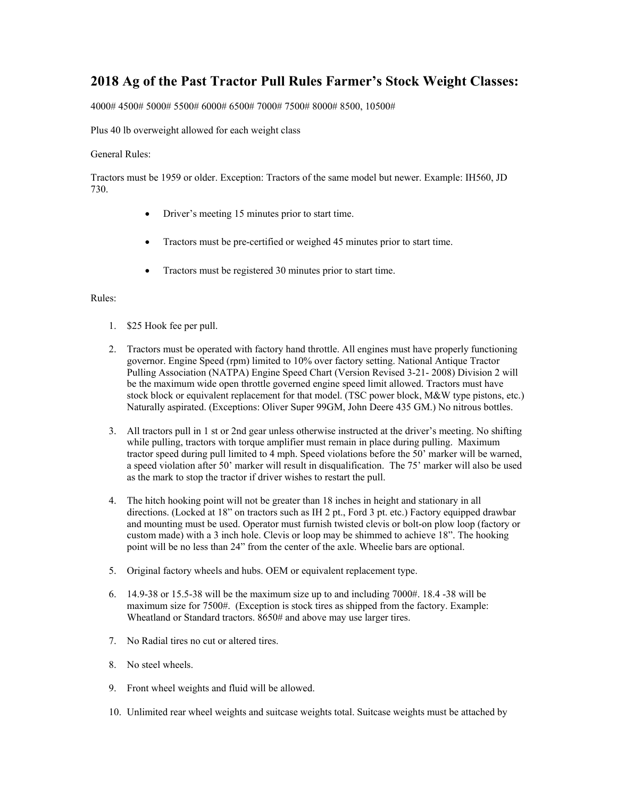## **2018 Ag of the Past Tractor Pull Rules Farmer's Stock Weight Classes:**

4000# 4500# 5000# 5500# 6000# 6500# 7000# 7500# 8000# 8500, 10500#

Plus 40 lb overweight allowed for each weight class

## General Rules:

Tractors must be 1959 or older. Exception: Tractors of the same model but newer. Example: IH560, JD 730.

- Driver's meeting 15 minutes prior to start time.
- Tractors must be pre-certified or weighed 45 minutes prior to start time.
- Tractors must be registered 30 minutes prior to start time.

## Rules:

- 1. \$25 Hook fee per pull.
- 2. Tractors must be operated with factory hand throttle. All engines must have properly functioning governor. Engine Speed (rpm) limited to 10% over factory setting. National Antique Tractor Pulling Association (NATPA) Engine Speed Chart (Version Revised 3-21- 2008) Division 2 will be the maximum wide open throttle governed engine speed limit allowed. Tractors must have stock block or equivalent replacement for that model. (TSC power block, M&W type pistons, etc.) Naturally aspirated. (Exceptions: Oliver Super 99GM, John Deere 435 GM.) No nitrous bottles.
- 3. All tractors pull in 1 st or 2nd gear unless otherwise instructed at the driver's meeting. No shifting while pulling, tractors with torque amplifier must remain in place during pulling. Maximum tractor speed during pull limited to 4 mph. Speed violations before the 50' marker will be warned, a speed violation after 50' marker will result in disqualification. The 75' marker will also be used as the mark to stop the tractor if driver wishes to restart the pull.
- 4. The hitch hooking point will not be greater than 18 inches in height and stationary in all directions. (Locked at 18" on tractors such as IH 2 pt., Ford 3 pt. etc.) Factory equipped drawbar and mounting must be used. Operator must furnish twisted clevis or bolt-on plow loop (factory or custom made) with a 3 inch hole. Clevis or loop may be shimmed to achieve 18". The hooking point will be no less than 24" from the center of the axle. Wheelie bars are optional.
- 5. Original factory wheels and hubs. OEM or equivalent replacement type.
- 6. 14.9-38 or 15.5-38 will be the maximum size up to and including  $7000#$ . 18.4 -38 will be maximum size for 7500#. (Exception is stock tires as shipped from the factory. Example: Wheatland or Standard tractors. 8650# and above may use larger tires.
- 7. No Radial tires no cut or altered tires.
- 8. No steel wheels.
- 9. Front wheel weights and fluid will be allowed.
- 10. Unlimited rear wheel weights and suitcase weights total. Suitcase weights must be attached by